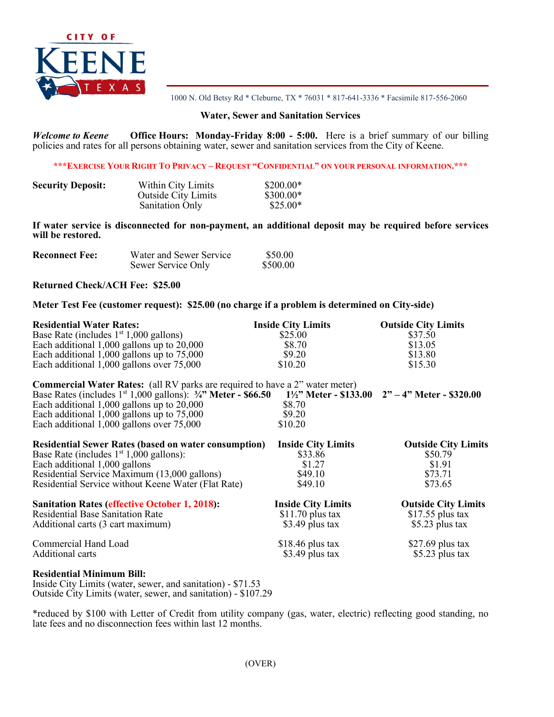

1000 N. Old Betsy Rd \* Cleburne, TX \* 76031 \* 817-641-3336 \* Facsimile 817-556-2060

### **Water, Sewer and Sanitation Services**

*Welcome to Keene* **Office Hours: Monday-Friday 8:00 - 5:00.** Here is a brief summary of our billing policies and rates for all persons obtaining water, sewer and sanitation services from the City of Keene.

#### **\*\*\*EXERCISE YOUR RIGHT TO PRIVACY – REQUEST "CONFIDENTIAL" ON YOUR PERSONAL INFORMATION.\*\*\***

| <b>Security Deposit:</b> | Within City Limits         | $$200.00*$ |
|--------------------------|----------------------------|------------|
|                          | <b>Outside City Limits</b> | $$300.00*$ |
|                          | <b>Sanitation Only</b>     | $$25.00*$  |

**If water service is disconnected for non-payment, an additional deposit may be required before services will be restored.**

| <b>Reconnect Fee:</b> | Water and Sewer Service | \$50.00  |
|-----------------------|-------------------------|----------|
|                       | Sewer Service Only      | \$500.00 |

## **Returned Check/ACH Fee: \$25.00**

# **Meter Test Fee (customer request): \$25.00 (no charge if a problem is determined on City-side)**

| <b>Residential Water Rates:</b>                                                                                           | <b>Inside City Limits</b> | <b>Outside City Limits</b> |
|---------------------------------------------------------------------------------------------------------------------------|---------------------------|----------------------------|
| Base Rate (includes $1st 1,000$ gallons)                                                                                  | \$25.00                   | \$37.50                    |
| Each additional $1,000$ gallons up to $20,000$                                                                            | \$8.70                    | \$13.05                    |
| Each additional $1,000$ gallons up to $75,000$                                                                            | \$9.20                    | \$13.80                    |
| Each additional 1,000 gallons over 75,000                                                                                 | \$10.20                   | \$15.30                    |
| <b>Commercial Water Rates:</b> (all RV parks are required to have a 2" water meter)                                       |                           |                            |
| Base Rates (includes 1 <sup>st</sup> 1,000 gallons): 3/4" Meter - \$66.50 11/2" Meter - \$133.00 2" - 4" Meter - \$320.00 |                           |                            |
| Each additional $1,000$ gallons up to $20,000$                                                                            | \$8.70                    |                            |
| Each additional $1,000$ gallons up to $75,000$                                                                            | \$9.20                    |                            |
| Each additional 1,000 gallons over 75,000                                                                                 | \$10.20                   |                            |
| <b>Residential Sewer Rates (based on water consumption)</b>                                                               | <b>Inside City Limits</b> | <b>Outside City Limits</b> |
| Base Rate (includes $1st 1,000$ gallons):                                                                                 | \$33.86                   | \$50.79                    |
| Each additional 1,000 gallons                                                                                             | \$1.27                    | \$1.91                     |
| Residential Service Maximum (13,000 gallons)                                                                              | \$49.10                   | \$73.71                    |
| Residential Service without Keene Water (Flat Rate)                                                                       | \$49.10                   | \$73.65                    |
| <b>Sanitation Rates (effective October 1, 2018):</b>                                                                      | <b>Inside City Limits</b> | <b>Outside City Limits</b> |
| <b>Residential Base Sanitation Rate</b>                                                                                   | $$11.70$ plus tax         | $$17.55$ plus tax          |
| Additional carts (3 cart maximum)                                                                                         | \$3.49 plus tax           | \$5.23 plus tax            |
| Commercial Hand Load                                                                                                      | $$18.46$ plus tax         | \$27.69 plus tax           |
| Additional carts                                                                                                          | \$3.49 plus tax           | \$5.23 plus tax            |
| <b>Residential Minimum Bill:</b>                                                                                          |                           |                            |

Inside City Limits (water, sewer, and sanitation) - \$71.53 Outside City Limits (water, sewer, and sanitation) - \$107.29

\*reduced by \$100 with Letter of Credit from utility company (gas, water, electric) reflecting good standing, no late fees and no disconnection fees within last 12 months.